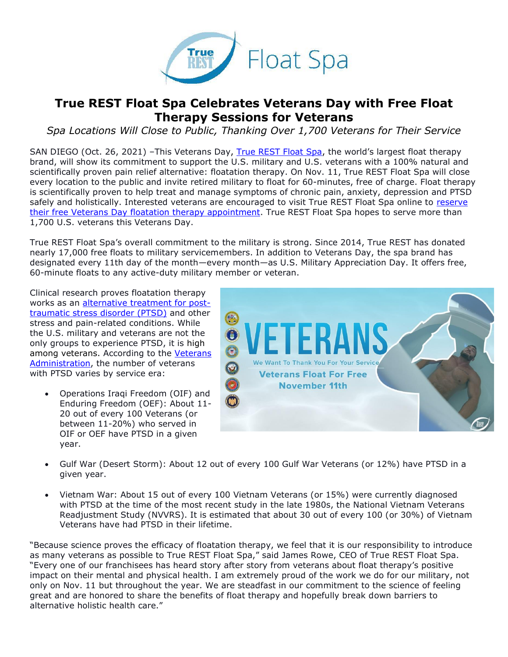

## **True REST Float Spa Celebrates Veterans Day with Free Float Therapy Sessions for Veterans**

*Spa Locations Will Close to Public, Thanking Over 1,700 Veterans for Their Service*

SAN DIEGO (Oct. 26, 2021) –This Veterans Day, [True REST Float Spa,](https://truerest.com/about-us/?utm_source=press+release&utm_medium=press+release&utm_campaign=Veterans+Day+2021) the world's largest float therapy brand, will show its commitment to support the U.S. military and U.S. veterans with a 100% natural and scientifically proven pain relief alternative: floatation therapy. On Nov. 11, True REST Float Spa will close every location to the public and invite retired military to float for 60-minutes, free of charge. Float therapy is scientifically proven to help treat and manage symptoms of chronic pain, anxiety, depression and PTSD safely and holistically. Interested veterans are encouraged to visit True REST Float Spa online to reserve [their free Veterans Day floatation therapy appointment.](https://truerest.com/free-floats-for-military-veterans/?utm_source=press+release&utm_medium=press+release&utm_campaign=Veterans+Day+2021) True REST Float Spa hopes to serve more than 1,700 U.S. veterans this Veterans Day.

True REST Float Spa's overall commitment to the military is strong. Since 2014, True REST has donated nearly 17,000 free floats to military servicemembers. In addition to Veterans Day, the spa brand has designated every 11th day of the month—every month—as U.S. Military Appreciation Day. It offers free, 60-minute floats to any active-duty military member or veteran.

Clinical research proves floatation therapy works as an [alternative treatment for post](https://truerest.com/alternative-therapies-for-ptsd/?utm_source=Veterans+Day&utm_medium=press+release&utm_campaign=True+REST+Float+Spa+Celebrates+Veterans+Day+with+Free+Float+Therapy+Sessions+for+Veterans)[traumatic stress disorder \(PTSD\)](https://truerest.com/alternative-therapies-for-ptsd/?utm_source=Veterans+Day&utm_medium=press+release&utm_campaign=True+REST+Float+Spa+Celebrates+Veterans+Day+with+Free+Float+Therapy+Sessions+for+Veterans) and other stress and pain-related conditions. While the U.S. military and veterans are not the only groups to experience PTSD, it is high among veterans. According to the [Veterans](https://www.ptsd.va.gov/understand/common/common_veterans.asp)  [Administration,](https://www.ptsd.va.gov/understand/common/common_veterans.asp) the number of veterans with PTSD varies by service era:

• Operations Iraqi Freedom (OIF) and Enduring Freedom (OEF): About 11- 20 out of every 100 Veterans (or between 11-20%) who served in OIF or OEF have PTSD in a given year.



- Gulf War (Desert Storm): About 12 out of every 100 Gulf War Veterans (or 12%) have PTSD in a given year.
- Vietnam War: About 15 out of every 100 Vietnam Veterans (or 15%) were currently diagnosed with PTSD at the time of the most recent study in the late 1980s, the National Vietnam Veterans Readjustment Study (NVVRS). It is estimated that about 30 out of every 100 (or 30%) of Vietnam Veterans have had PTSD in their lifetime.

"Because science proves the efficacy of floatation therapy, we feel that it is our responsibility to introduce as many veterans as possible to True REST Float Spa," said James Rowe, CEO of True REST Float Spa. "Every one of our franchisees has heard story after story from veterans about float therapy's positive impact on their mental and physical health. I am extremely proud of the work we do for our military, not only on Nov. 11 but throughout the year. We are steadfast in our commitment to the science of feeling great and are honored to share the benefits of float therapy and hopefully break down barriers to alternative holistic health care."